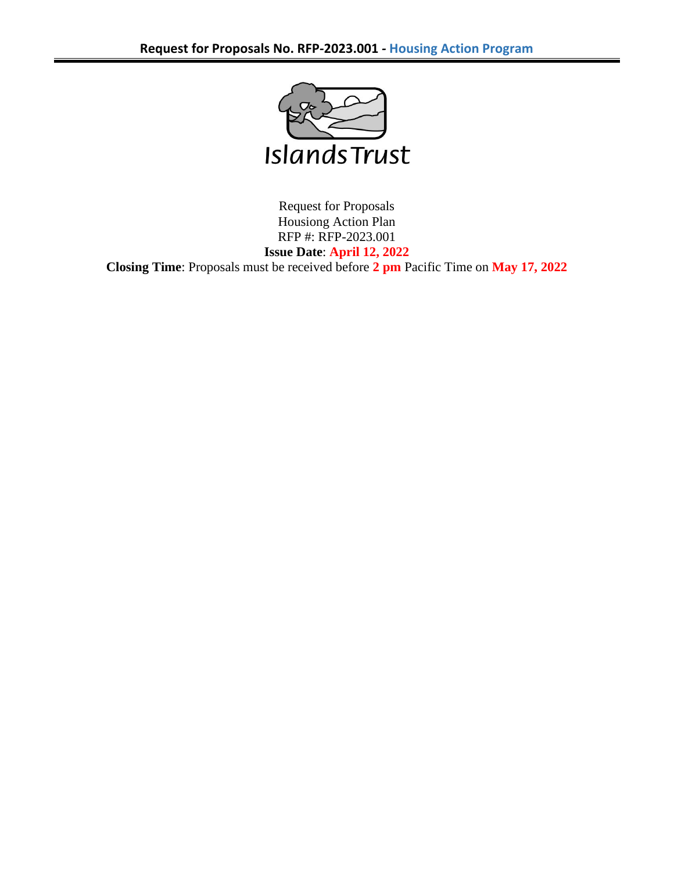

Request for Proposals Housiong Action Plan RFP #: RFP-2023.001 **Issue Date**: **April 12, 2022 Closing Time**: Proposals must be received before **2 pm** Pacific Time on **May 17, 2022**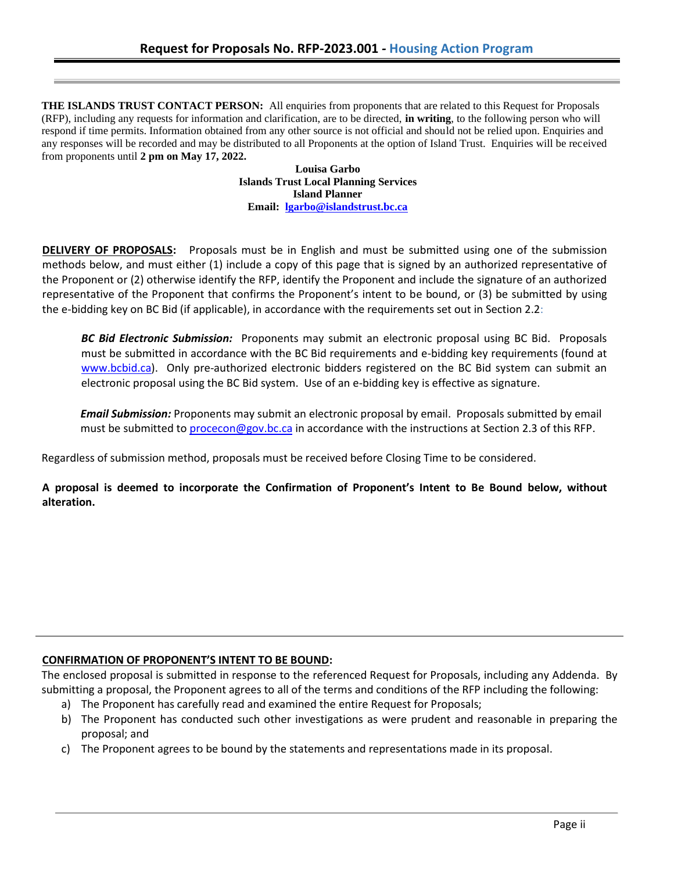**THE ISLANDS TRUST CONTACT PERSON:** All enquiries from proponents that are related to this Request for Proposals (RFP), including any requests for information and clarification, are to be directed, **in writing**, to the following person who will respond if time permits. Information obtained from any other source is not official and should not be relied upon. Enquiries and any responses will be recorded and may be distributed to all Proponents at the option of Island Trust. Enquiries will be received from proponents until **2 pm on May 17, 2022.**

**Louisa Garbo Islands Trust Local Planning Services Island Planner Email: [lgarbo@islandstrust.bc.ca](mailto:lgarbo@islandstrust.bc.ca)**

**DELIVERY OF PROPOSALS:** Proposals must be in English and must be submitted using one of the submission methods below, and must either (1) include a copy of this page that is signed by an authorized representative of the Proponent or (2) otherwise identify the RFP, identify the Proponent and include the signature of an authorized representative of the Proponent that confirms the Proponent's intent to be bound, or (3) be submitted by using the e-bidding key on BC Bid (if applicable), in accordance with the requirements set out in Section 2.2:

*BC Bid Electronic Submission:* Proponents may submit an electronic proposal using BC Bid. Proposals must be submitted in accordance with the BC Bid requirements and e-bidding key requirements (found at [www.bcbid.ca\)](http://www.bcbid.ca/). Only pre-authorized electronic bidders registered on the BC Bid system can submit an electronic proposal using the BC Bid system. Use of an e-bidding key is effective as signature.

*Email Submission:* Proponents may submit an electronic proposal by email. Proposals submitted by email must be submitted to [procecon@gov.bc.ca](mailto:procecon@gov.bc.ca) in accordance with the instructions at Section 2.3 of this RFP.

Regardless of submission method, proposals must be received before Closing Time to be considered.

**A proposal is deemed to incorporate the Confirmation of Proponent's Intent to Be Bound below, without alteration.**

### **CONFIRMATION OF PROPONENT'S INTENT TO BE BOUND:**

The enclosed proposal is submitted in response to the referenced Request for Proposals, including any Addenda. By submitting a proposal, the Proponent agrees to all of the terms and conditions of the RFP including the following:

- a) The Proponent has carefully read and examined the entire Request for Proposals;
- b) The Proponent has conducted such other investigations as were prudent and reasonable in preparing the proposal; and
- c) The Proponent agrees to be bound by the statements and representations made in its proposal.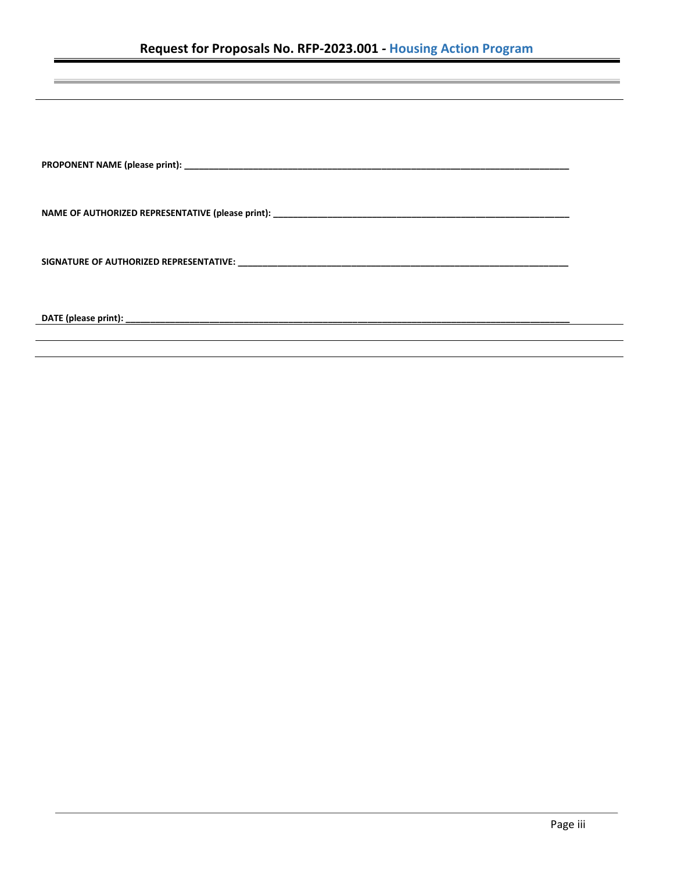**PROPONENT NAME (please print): \_\_\_\_\_\_\_\_\_\_\_\_\_\_\_\_\_\_\_\_\_\_\_\_\_\_\_\_\_\_\_\_\_\_\_\_\_\_\_\_\_\_\_\_\_\_\_\_\_\_\_\_\_\_\_\_\_\_\_\_\_\_\_\_\_\_\_\_\_\_\_\_\_\_\_\_\_\_**

**NAME OF AUTHORIZED REPRESENTATIVE (please print): \_\_\_\_\_\_\_\_\_\_\_\_\_\_\_\_\_\_\_\_\_\_\_\_\_\_\_\_\_\_\_\_\_\_\_\_\_\_\_\_\_\_\_\_\_\_\_\_\_\_\_\_\_\_\_\_\_\_\_\_**

**SIGNATURE OF AUTHORIZED REPRESENTATIVE: \_\_\_\_\_\_\_\_\_\_\_\_\_\_\_\_\_\_\_\_\_\_\_\_\_\_\_\_\_\_\_\_\_\_\_\_\_\_\_\_\_\_\_\_\_\_\_\_\_\_\_\_\_\_\_\_\_\_\_\_\_\_\_\_\_\_\_**

**DATE (please print): \_\_\_\_\_\_\_\_\_\_\_\_\_\_\_\_\_\_\_\_\_\_\_\_\_\_\_\_\_\_\_\_\_\_\_\_\_\_\_\_\_\_\_\_\_\_\_\_\_\_\_\_\_\_\_\_\_\_\_\_\_\_\_\_\_\_\_\_\_\_\_\_\_\_\_\_\_\_\_\_\_\_\_\_\_\_\_\_\_\_**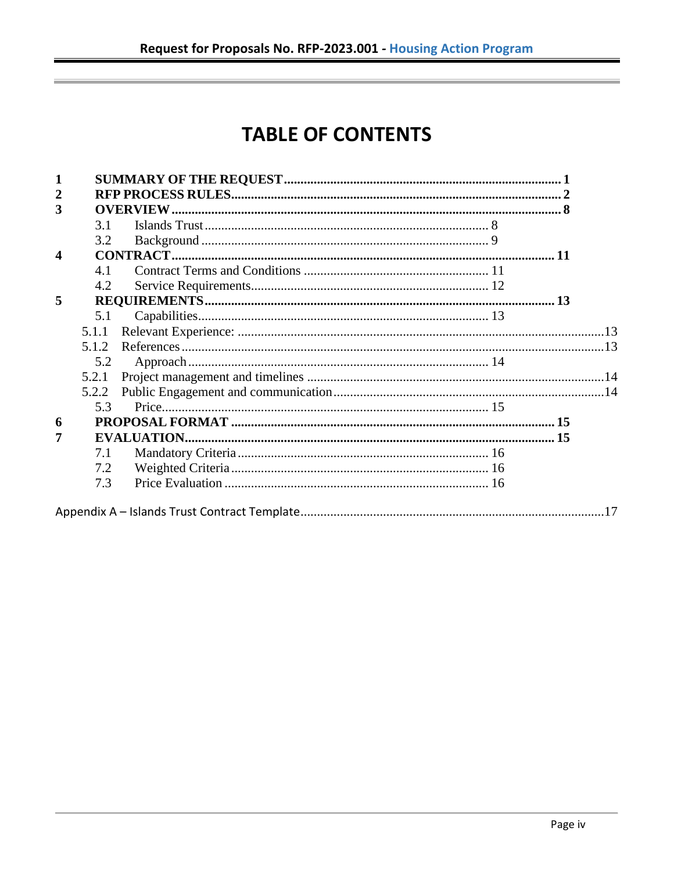# **TABLE OF CONTENTS**

| 1                |       |  |  |
|------------------|-------|--|--|
| $\overline{2}$   |       |  |  |
| 3                |       |  |  |
|                  | 3.1   |  |  |
|                  | 3.2   |  |  |
| $\boldsymbol{4}$ |       |  |  |
|                  | 4.1   |  |  |
|                  | 4.2   |  |  |
| 5                |       |  |  |
|                  | 5.1   |  |  |
|                  | 5.1.1 |  |  |
|                  | 5.1.2 |  |  |
|                  | 5.2   |  |  |
|                  | 5.2.1 |  |  |
|                  | 5.2.2 |  |  |
|                  | 5.3   |  |  |
| 6                |       |  |  |
| $\overline{7}$   |       |  |  |
|                  | 7.1   |  |  |
|                  | 7.2   |  |  |
|                  | 7.3   |  |  |
|                  |       |  |  |
|                  |       |  |  |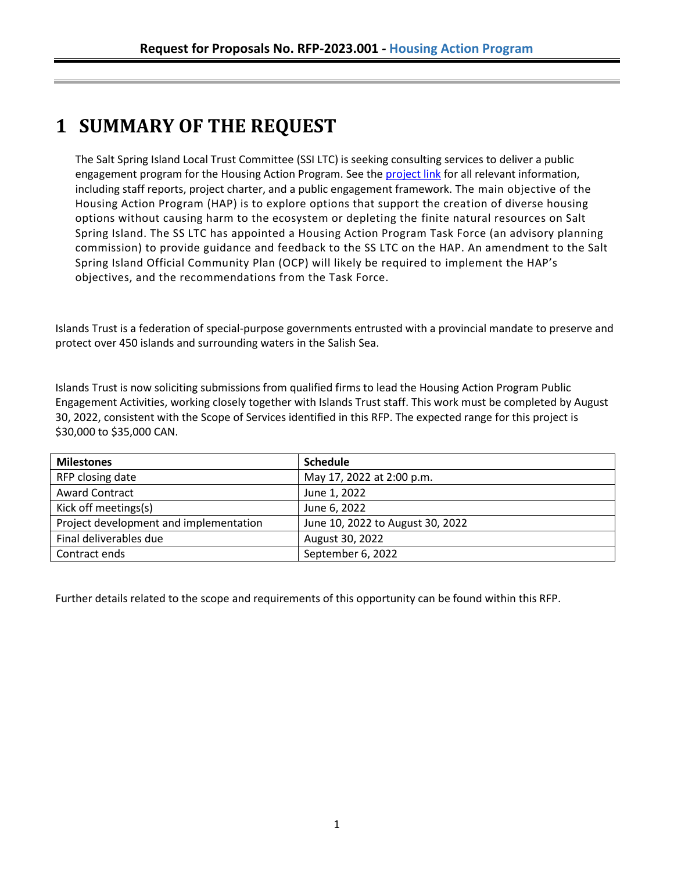# <span id="page-4-0"></span>**1 SUMMARY OF THE REQUEST**

The Salt Spring Island Local Trust Committee (SSI LTC) is seeking consulting services to deliver a public engagement program for the Housing Action Program. See th[e project link](https://islandstrust.bc.ca/housing-action-program-2/) for all relevant information, including staff reports, project charter, and a public engagement framework. The main objective of the Housing Action Program (HAP) is to explore options that support the creation of diverse housing options without causing harm to the ecosystem or depleting the finite natural resources on Salt Spring Island. The SS LTC has appointed a Housing Action Program Task Force (an advisory planning commission) to provide guidance and feedback to the SS LTC on the HAP. An amendment to the Salt Spring Island Official Community Plan (OCP) will likely be required to implement the HAP's objectives, and the recommendations from the Task Force.

Islands Trust is a federation of special-purpose governments entrusted with a provincial mandate to preserve and protect over 450 islands and surrounding waters in the Salish Sea.

Islands Trust is now soliciting submissions from qualified firms to lead the Housing Action Program Public Engagement Activities, working closely together with Islands Trust staff. This work must be completed by August 30, 2022, consistent with the Scope of Services identified in this RFP. The expected range for this project is \$30,000 to \$35,000 CAN.

| <b>Milestones</b>                      | <b>Schedule</b>                  |
|----------------------------------------|----------------------------------|
| RFP closing date                       | May 17, 2022 at 2:00 p.m.        |
| <b>Award Contract</b>                  | June 1, 2022                     |
| Kick off meetings(s)                   | June 6, 2022                     |
| Project development and implementation | June 10, 2022 to August 30, 2022 |
| Final deliverables due                 | August 30, 2022                  |
| Contract ends                          | September 6, 2022                |

Further details related to the scope and requirements of this opportunity can be found within this RFP.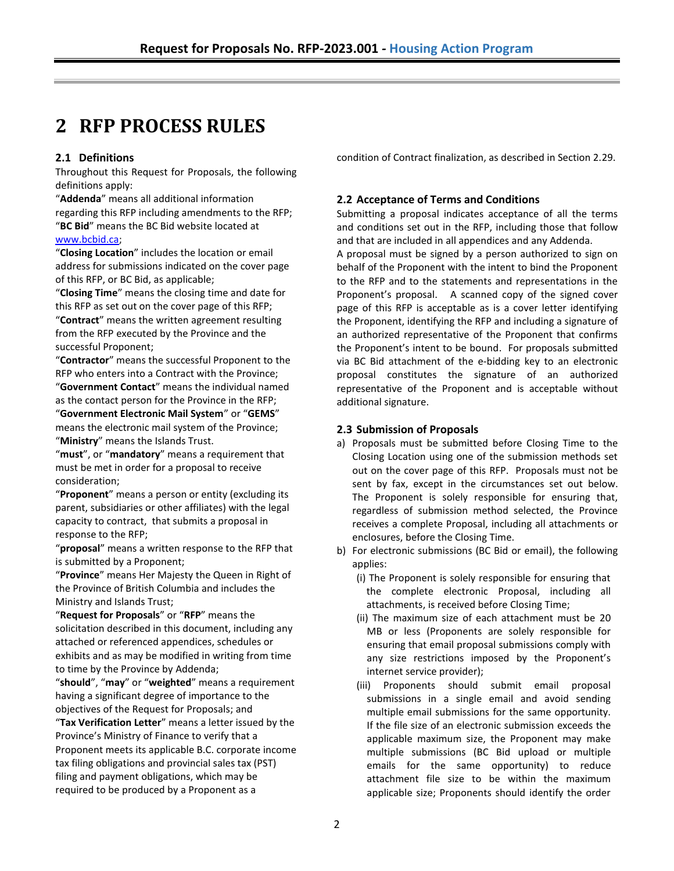## <span id="page-5-0"></span>**2 RFP PROCESS RULES**

### **2.1 Definitions**

Throughout this Request for Proposals, the following definitions apply:

"**Addenda**" means all additional information regarding this RFP including amendments to the RFP; "**BC Bid**" means the BC Bid website located at

### [www.bcbid.ca;](http://www.bcbid.ca/)

"**Closing Location**" includes the location or email address for submissions indicated on the cover page of this RFP, or BC Bid, as applicable;

"**Closing Time**" means the closing time and date for this RFP as set out on the cover page of this RFP; "**Contract**" means the written agreement resulting from the RFP executed by the Province and the successful Proponent;

"**Contractor**" means the successful Proponent to the RFP who enters into a Contract with the Province;

"**Government Contact**" means the individual named as the contact person for the Province in the RFP;

"**Government Electronic Mail System**" or "**GEMS**" means the electronic mail system of the Province; "**Ministry**" means the Islands Trust.

"**must**", or "**mandatory**" means a requirement that must be met in order for a proposal to receive consideration;

"**Proponent**" means a person or entity (excluding its parent, subsidiaries or other affiliates) with the legal capacity to contract, that submits a proposal in response to the RFP;

"**proposal**" means a written response to the RFP that is submitted by a Proponent;

"**Province**" means Her Majesty the Queen in Right of the Province of British Columbia and includes the Ministry and Islands Trust;

"**Request for Proposals**" or "**RFP**" means the solicitation described in this document, including any attached or referenced appendices, schedules or exhibits and as may be modified in writing from time to time by the Province by Addenda;

"**should**", "**may**" or "**weighted**" means a requirement having a significant degree of importance to the objectives of the Request for Proposals; and

"**Tax Verification Letter**" means a letter issued by the Province's Ministry of Finance to verify that a Proponent meets its applicable B.C. corporate income tax filing obligations and provincial sales tax (PST) filing and payment obligations, which may be required to be produced by a Proponent as a

condition of Contract finalization, as described in Section 2.29.

### **2.2 Acceptance of Terms and Conditions**

Submitting a proposal indicates acceptance of all the terms and conditions set out in the RFP, including those that follow and that are included in all appendices and any Addenda.

A proposal must be signed by a person authorized to sign on behalf of the Proponent with the intent to bind the Proponent to the RFP and to the statements and representations in the Proponent's proposal. A scanned copy of the signed cover page of this RFP is acceptable as is a cover letter identifying the Proponent, identifying the RFP and including a signature of an authorized representative of the Proponent that confirms the Proponent's intent to be bound. For proposals submitted via BC Bid attachment of the e-bidding key to an electronic proposal constitutes the signature of an authorized representative of the Proponent and is acceptable without additional signature.

#### **2.3 Submission of Proposals**

- a) Proposals must be submitted before Closing Time to the Closing Location using one of the submission methods set out on the cover page of this RFP. Proposals must not be sent by fax, except in the circumstances set out below. The Proponent is solely responsible for ensuring that, regardless of submission method selected, the Province receives a complete Proposal, including all attachments or enclosures, before the Closing Time.
- b) For electronic submissions (BC Bid or email), the following applies:
	- (i) The Proponent is solely responsible for ensuring that the complete electronic Proposal, including all attachments, is received before Closing Time;
	- (ii) The maximum size of each attachment must be 20 MB or less (Proponents are solely responsible for ensuring that email proposal submissions comply with any size restrictions imposed by the Proponent's internet service provider);
	- (iii) Proponents should submit email proposal submissions in a single email and avoid sending multiple email submissions for the same opportunity. If the file size of an electronic submission exceeds the applicable maximum size, the Proponent may make multiple submissions (BC Bid upload or multiple emails for the same opportunity) to reduce attachment file size to be within the maximum applicable size; Proponents should identify the order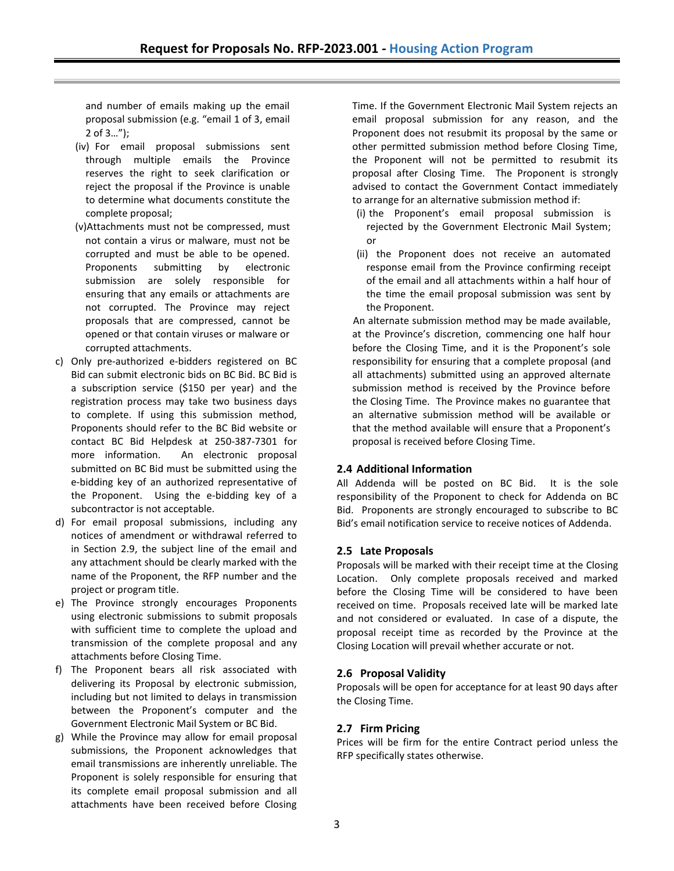and number of emails making up the email proposal submission (e.g. "email 1 of 3, email 2 of 3…");

- (iv) For email proposal submissions sent through multiple emails the Province reserves the right to seek clarification or reject the proposal if the Province is unable to determine what documents constitute the complete proposal;
- (v)Attachments must not be compressed, must not contain a virus or malware, must not be corrupted and must be able to be opened. Proponents submitting by electronic submission are solely responsible for ensuring that any emails or attachments are not corrupted. The Province may reject proposals that are compressed, cannot be opened or that contain viruses or malware or corrupted attachments.
- c) Only pre-authorized e-bidders registered on BC Bid can submit electronic bids on BC Bid. BC Bid is a subscription service (\$150 per year) and the registration process may take two business days to complete. If using this submission method, Proponents should refer to the BC Bid website or contact BC Bid Helpdesk at 250-387-7301 for more information. An electronic proposal submitted on BC Bid must be submitted using the e-bidding key of an authorized representative of the Proponent. Using the e-bidding key of a subcontractor is not acceptable.
- d) For email proposal submissions, including any notices of amendment or withdrawal referred to in Section 2.9, the subject line of the email and any attachment should be clearly marked with the name of the Proponent, the RFP number and the project or program title.
- e) The Province strongly encourages Proponents using electronic submissions to submit proposals with sufficient time to complete the upload and transmission of the complete proposal and any attachments before Closing Time.
- f) The Proponent bears all risk associated with delivering its Proposal by electronic submission, including but not limited to delays in transmission between the Proponent's computer and the Government Electronic Mail System or BC Bid.
- g) While the Province may allow for email proposal submissions, the Proponent acknowledges that email transmissions are inherently unreliable. The Proponent is solely responsible for ensuring that its complete email proposal submission and all attachments have been received before Closing

Time. If the Government Electronic Mail System rejects an email proposal submission for any reason, and the Proponent does not resubmit its proposal by the same or other permitted submission method before Closing Time, the Proponent will not be permitted to resubmit its proposal after Closing Time. The Proponent is strongly advised to contact the Government Contact immediately to arrange for an alternative submission method if:

- (i) the Proponent's email proposal submission is rejected by the Government Electronic Mail System; or
- (ii) the Proponent does not receive an automated response email from the Province confirming receipt of the email and all attachments within a half hour of the time the email proposal submission was sent by the Proponent.

An alternate submission method may be made available, at the Province's discretion, commencing one half hour before the Closing Time, and it is the Proponent's sole responsibility for ensuring that a complete proposal (and all attachments) submitted using an approved alternate submission method is received by the Province before the Closing Time. The Province makes no guarantee that an alternative submission method will be available or that the method available will ensure that a Proponent's proposal is received before Closing Time.

### **2.4 Additional Information**

All Addenda will be posted on BC Bid. It is the sole responsibility of the Proponent to check for Addenda on BC Bid. Proponents are strongly encouraged to subscribe to BC Bid's email notification service to receive notices of Addenda.

### **2.5 Late Proposals**

Proposals will be marked with their receipt time at the Closing Location. Only complete proposals received and marked before the Closing Time will be considered to have been received on time. Proposals received late will be marked late and not considered or evaluated. In case of a dispute, the proposal receipt time as recorded by the Province at the Closing Location will prevail whether accurate or not.

### **2.6 Proposal Validity**

Proposals will be open for acceptance for at least 90 days after the Closing Time.

### **2.7 Firm Pricing**

Prices will be firm for the entire Contract period unless the RFP specifically states otherwise.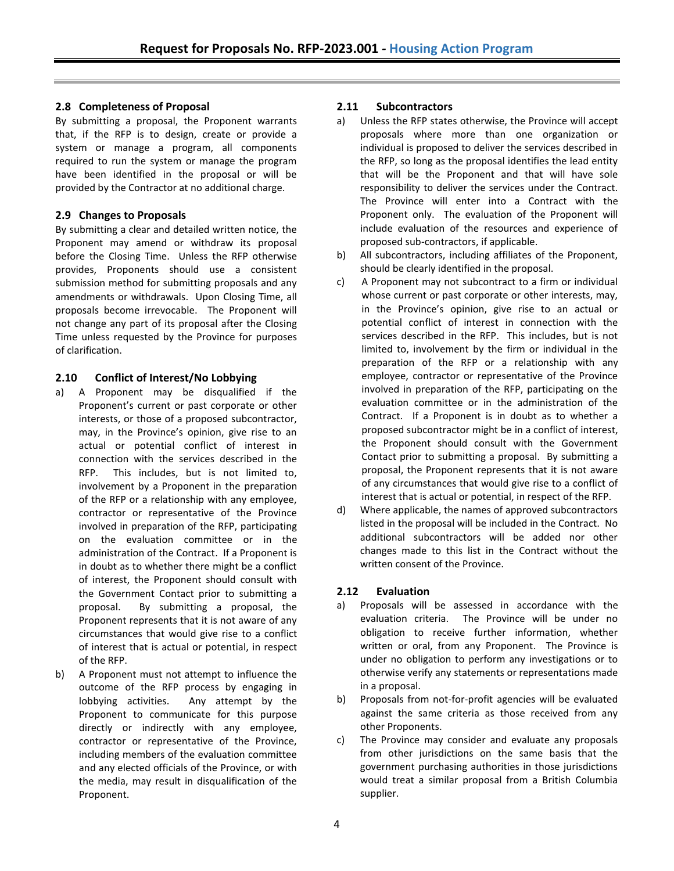### **2.8 Completeness of Proposal**

By submitting a proposal, the Proponent warrants that, if the RFP is to design, create or provide a system or manage a program, all components required to run the system or manage the program have been identified in the proposal or will be provided by the Contractor at no additional charge.

### **2.9 Changes to Proposals**

By submitting a clear and detailed written notice, the Proponent may amend or withdraw its proposal before the Closing Time. Unless the RFP otherwise provides, Proponents should use a consistent submission method for submitting proposals and any amendments or withdrawals. Upon Closing Time, all proposals become irrevocable. The Proponent will not change any part of its proposal after the Closing Time unless requested by the Province for purposes of clarification.

### **2.10 Conflict of Interest/No Lobbying**

- a) A Proponent may be disqualified if the Proponent's current or past corporate or other interests, or those of a proposed subcontractor, may, in the Province's opinion, give rise to an actual or potential conflict of interest in connection with the services described in the RFP. This includes, but is not limited to, involvement by a Proponent in the preparation of the RFP or a relationship with any employee, contractor or representative of the Province involved in preparation of the RFP, participating on the evaluation committee or in the administration of the Contract. If a Proponent is in doubt as to whether there might be a conflict of interest, the Proponent should consult with the Government Contact prior to submitting a proposal. By submitting a proposal, the Proponent represents that it is not aware of any circumstances that would give rise to a conflict of interest that is actual or potential, in respect of the RFP.
- b) A Proponent must not attempt to influence the outcome of the RFP process by engaging in lobbying activities. Any attempt by the Proponent to communicate for this purpose directly or indirectly with any employee, contractor or representative of the Province, including members of the evaluation committee and any elected officials of the Province, or with the media, may result in disqualification of the Proponent.

### **2.11 Subcontractors**

- a) Unless the RFP states otherwise, the Province will accept proposals where more than one organization or individual is proposed to deliver the services described in the RFP, so long as the proposal identifies the lead entity that will be the Proponent and that will have sole responsibility to deliver the services under the Contract. The Province will enter into a Contract with the Proponent only. The evaluation of the Proponent will include evaluation of the resources and experience of proposed sub-contractors, if applicable.
- b) All subcontractors, including affiliates of the Proponent, should be clearly identified in the proposal.
- c) A Proponent may not subcontract to a firm or individual whose current or past corporate or other interests, may, in the Province's opinion, give rise to an actual or potential conflict of interest in connection with the services described in the RFP. This includes, but is not limited to, involvement by the firm or individual in the preparation of the RFP or a relationship with any employee, contractor or representative of the Province involved in preparation of the RFP, participating on the evaluation committee or in the administration of the Contract. If a Proponent is in doubt as to whether a proposed subcontractor might be in a conflict of interest, the Proponent should consult with the Government Contact prior to submitting a proposal. By submitting a proposal, the Proponent represents that it is not aware of any circumstances that would give rise to a conflict of interest that is actual or potential, in respect of the RFP.
- d) Where applicable, the names of approved subcontractors listed in the proposal will be included in the Contract. No additional subcontractors will be added nor other changes made to this list in the Contract without the written consent of the Province.

### **2.12 Evaluation**

- a) Proposals will be assessed in accordance with the evaluation criteria. The Province will be under no obligation to receive further information, whether written or oral, from any Proponent. The Province is under no obligation to perform any investigations or to otherwise verify any statements or representations made in a proposal.
- b) Proposals from not-for-profit agencies will be evaluated against the same criteria as those received from any other Proponents.
- c) The Province may consider and evaluate any proposals from other jurisdictions on the same basis that the government purchasing authorities in those jurisdictions would treat a similar proposal from a British Columbia supplier.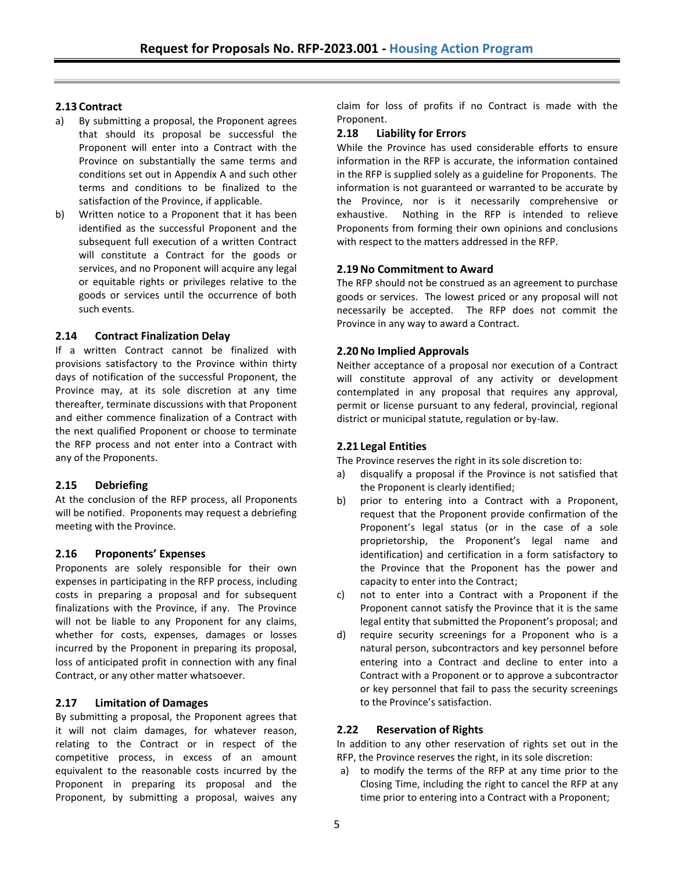### **2.13 Contract**

- a) By submitting a proposal, the Proponent agrees that should its proposal be successful the Proponent will enter into a Contract with the Province on substantially the same terms and conditions set out in Appendix A and such other terms and conditions to be finalized to the satisfaction of the Province, if applicable.
- b) Written notice to a Proponent that it has been identified as the successful Proponent and the subsequent full execution of a written Contract will constitute a Contract for the goods or services, and no Proponent will acquire any legal or equitable rights or privileges relative to the goods or services until the occurrence of both such events.

### **2.14 Contract Finalization Delay**

If a written Contract cannot be finalized with provisions satisfactory to the Province within thirty days of notification of the successful Proponent, the Province may, at its sole discretion at any time thereafter, terminate discussions with that Proponent and either commence finalization of a Contract with the next qualified Proponent or choose to terminate the RFP process and not enter into a Contract with any of the Proponents.

### **2.15 Debriefing**

At the conclusion of the RFP process, all Proponents will be notified. Proponents may request a debriefing meeting with the Province.

### **2.16 Proponents' Expenses**

Proponents are solely responsible for their own expenses in participating in the RFP process, including costs in preparing a proposal and for subsequent finalizations with the Province, if any. The Province will not be liable to any Proponent for any claims, whether for costs, expenses, damages or losses incurred by the Proponent in preparing its proposal, loss of anticipated profit in connection with any final Contract, or any other matter whatsoever.

### **2.17 Limitation of Damages**

By submitting a proposal, the Proponent agrees that it will not claim damages, for whatever reason, relating to the Contract or in respect of the competitive process, in excess of an amount equivalent to the reasonable costs incurred by the Proponent in preparing its proposal and the Proponent, by submitting a proposal, waives any claim for loss of profits if no Contract is made with the Proponent.

### **2.18 Liability for Errors**

While the Province has used considerable efforts to ensure information in the RFP is accurate, the information contained in the RFP is supplied solely as a guideline for Proponents. The information is not guaranteed or warranted to be accurate by the Province, nor is it necessarily comprehensive or exhaustive. Nothing in the RFP is intended to relieve Proponents from forming their own opinions and conclusions with respect to the matters addressed in the RFP.

### **2.19No Commitment to Award**

The RFP should not be construed as an agreement to purchase goods or services. The lowest priced or any proposal will not necessarily be accepted. The RFP does not commit the Province in any way to award a Contract.

### **2.20No Implied Approvals**

Neither acceptance of a proposal nor execution of a Contract will constitute approval of any activity or development contemplated in any proposal that requires any approval, permit or license pursuant to any federal, provincial, regional district or municipal statute, regulation or by-law.

### **2.21 Legal Entities**

The Province reserves the right in its sole discretion to:

- a) disqualify a proposal if the Province is not satisfied that the Proponent is clearly identified;
- b) prior to entering into a Contract with a Proponent, request that the Proponent provide confirmation of the Proponent's legal status (or in the case of a sole proprietorship, the Proponent's legal name and identification) and certification in a form satisfactory to the Province that the Proponent has the power and capacity to enter into the Contract;
- c) not to enter into a Contract with a Proponent if the Proponent cannot satisfy the Province that it is the same legal entity that submitted the Proponent's proposal; and
- d) require security screenings for a Proponent who is a natural person, subcontractors and key personnel before entering into a Contract and decline to enter into a Contract with a Proponent or to approve a subcontractor or key personnel that fail to pass the security screenings to the Province's satisfaction.

### **2.22 Reservation of Rights**

In addition to any other reservation of rights set out in the RFP, the Province reserves the right, in its sole discretion:

a) to modify the terms of the RFP at any time prior to the Closing Time, including the right to cancel the RFP at any time prior to entering into a Contract with a Proponent;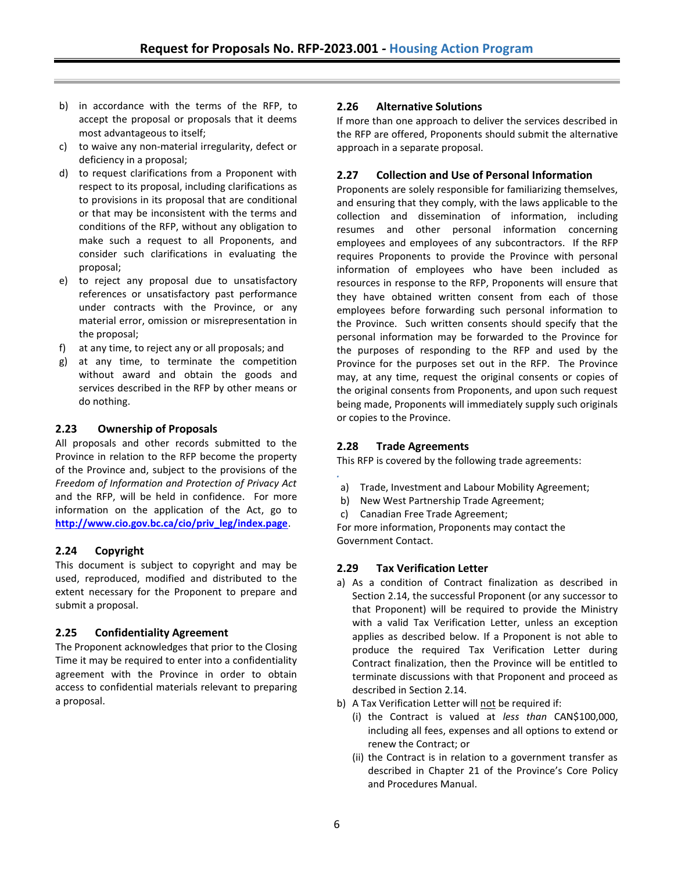- b) in accordance with the terms of the RFP, to accept the proposal or proposals that it deems most advantageous to itself;
- c) to waive any non-material irregularity, defect or deficiency in a proposal;
- d) to request clarifications from a Proponent with respect to its proposal, including clarifications as to provisions in its proposal that are conditional or that may be inconsistent with the terms and conditions of the RFP, without any obligation to make such a request to all Proponents, and consider such clarifications in evaluating the proposal;
- e) to reject any proposal due to unsatisfactory references or unsatisfactory past performance under contracts with the Province, or any material error, omission or misrepresentation in the proposal;
- f) at any time, to reject any or all proposals; and
- g) at any time, to terminate the competition without award and obtain the goods and services described in the RFP by other means or do nothing.

#### **2.23 Ownership of Proposals**

All proposals and other records submitted to the Province in relation to the RFP become the property of the Province and, subject to the provisions of the *Freedom of Information and Protection of Privacy Act* and the RFP, will be held in confidence. For more information on the application of the Act, go to **[http://www.cio.gov.bc.ca/cio/priv\\_leg/index.page](http://www.cio.gov.bc.ca/cio/priv_leg/index.page)**.

### **2.24 Copyright**

This document is subject to copyright and may be used, reproduced, modified and distributed to the extent necessary for the Proponent to prepare and submit a proposal.

### **2.25 Confidentiality Agreement**

The Proponent acknowledges that prior to the Closing Time it may be required to enter into a confidentiality agreement with the Province in order to obtain access to confidential materials relevant to preparing a proposal.

### **2.26 Alternative Solutions**

If more than one approach to deliver the services described in the RFP are offered, Proponents should submit the alternative approach in a separate proposal.

### **2.27 Collection and Use of Personal Information**

Proponents are solely responsible for familiarizing themselves, and ensuring that they comply, with the laws applicable to the collection and dissemination of information, including resumes and other personal information concerning employees and employees of any subcontractors. If the RFP requires Proponents to provide the Province with personal information of employees who have been included as resources in response to the RFP, Proponents will ensure that they have obtained written consent from each of those employees before forwarding such personal information to the Province. Such written consents should specify that the personal information may be forwarded to the Province for the purposes of responding to the RFP and used by the Province for the purposes set out in the RFP. The Province may, at any time, request the original consents or copies of the original consents from Proponents, and upon such request being made, Proponents will immediately supply such originals or copies to the Province.

### **2.28 Trade Agreements**

This RFP is covered by the following trade agreements:

- *.* a) Trade, Investment and Labour Mobility Agreement;
- b) New West Partnership Trade Agreement;
- c) Canadian Free Trade Agreement;

For more information, Proponents may contact the Government Contact.

### **2.29 Tax Verification Letter**

- a) As a condition of Contract finalization as described in Section 2.14, the successful Proponent (or any successor to that Proponent) will be required to provide the Ministry with a valid Tax Verification Letter, unless an exception applies as described below. If a Proponent is not able to produce the required Tax Verification Letter during Contract finalization, then the Province will be entitled to terminate discussions with that Proponent and proceed as described in Section 2.14.
- b) A Tax Verification Letter will not be required if:
	- (i) the Contract is valued at *less than* CAN\$100,000, including all fees, expenses and all options to extend or renew the Contract; or
	- (ii) the Contract is in relation to a government transfer as described in Chapter 21 of the Province's Core Policy and Procedures Manual.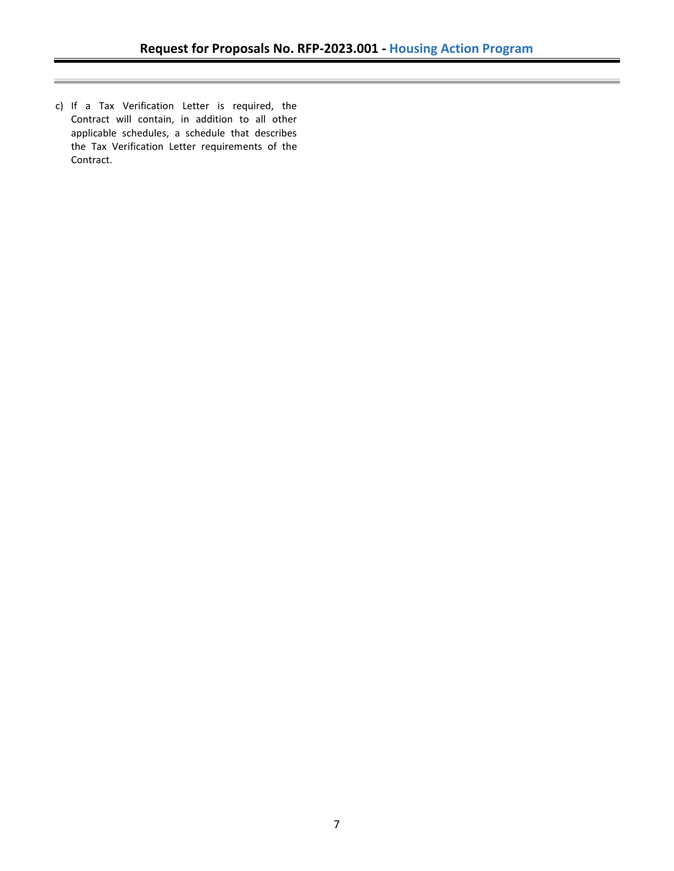c) If a Tax Verification Letter is required, the Contract will contain, in addition to all other applicable schedules, a schedule that describes the Tax Verification Letter requirements of the Contract.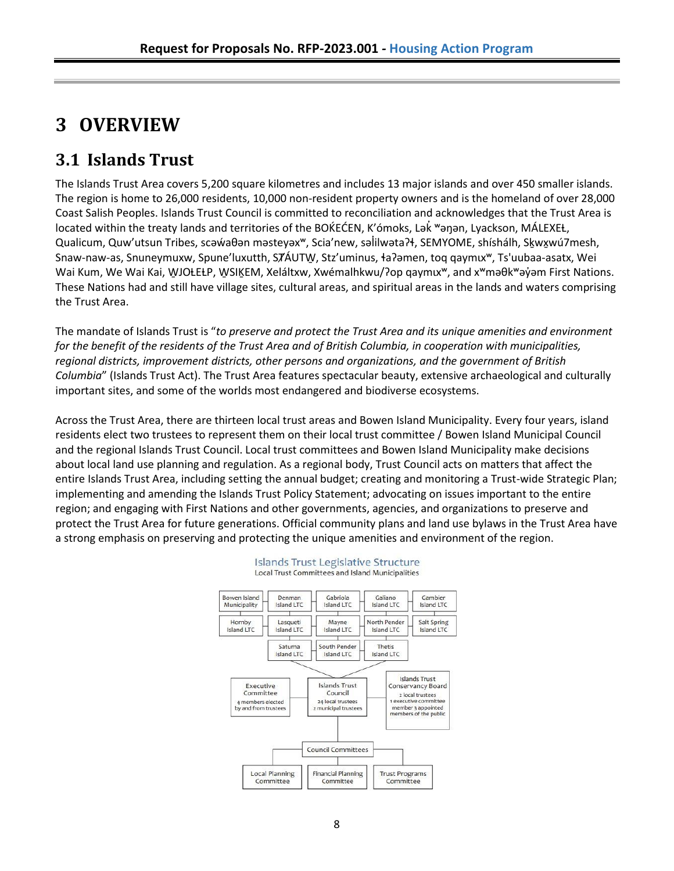# <span id="page-11-0"></span>**3 OVERVIEW**

## <span id="page-11-1"></span>**3.1 Islands Trust**

The Islands Trust Area covers 5,200 square kilometres and includes 13 major islands and over 450 smaller islands. The region is home to 26,000 residents, 10,000 non-resident property owners and is the homeland of over 28,000 Coast Salish Peoples. Islands Trust Council is committed to reconciliation and acknowledges that the Trust Area is located within the treaty lands and territories of the BOKEĆEN, K'ómoks, Lak <sup>w</sup>anan, Lyackson, MÁLEXEŁ, Qualicum, Quw'utsun Tribes, scəẃaθən məsteyəx<sup>w</sup>, Scia'new, səlilwəta?ł, SEMYOME, shíshálh, Skwxwú7mesh, Snaw-naw-as, Snuneymuxw, Spune'luxutth, SȾÁUTW̱, Stz'uminus, ɬaʔəmen, toq qaymɩxʷ, Ts'uubaa-asatx, Wei Wai Kum, We Wai Kai, WJOŁEŁP, WSIĶEM, Xeláltxw, Xwémalhkwu/?op qaymιx<sup>w</sup>, and x<sup>w</sup>məθk<sup>w</sup>əy̓əm First Nations. These Nations had and still have village sites, cultural areas, and spiritual areas in the lands and waters comprising the Trust Area.

The mandate of Islands Trust is "*to preserve and protect the Trust Area and its unique amenities and environment for the benefit of the residents of the Trust Area and of British Columbia, in cooperation with municipalities, regional districts, improvement districts, other persons and organizations, and the government of British Columbia*" (Islands Trust Act). The Trust Area features spectacular beauty, extensive archaeological and culturally important sites, and some of the worlds most endangered and biodiverse ecosystems.

Across the Trust Area, there are thirteen local trust areas and Bowen Island Municipality. Every four years, island residents elect two trustees to represent them on their local trust committee / Bowen Island Municipal Council and the regional Islands Trust Council. Local trust committees and Bowen Island Municipality make decisions about local land use planning and regulation. As a regional body, Trust Council acts on matters that affect the entire Islands Trust Area, including setting the annual budget; creating and monitoring a Trust-wide Strategic Plan; implementing and amending the Islands Trust Policy Statement; advocating on issues important to the entire region; and engaging with First Nations and other governments, agencies, and organizations to preserve and protect the Trust Area for future generations. Official community plans and land use bylaws in the Trust Area have a strong emphasis on preserving and protecting the unique amenities and environment of the region.



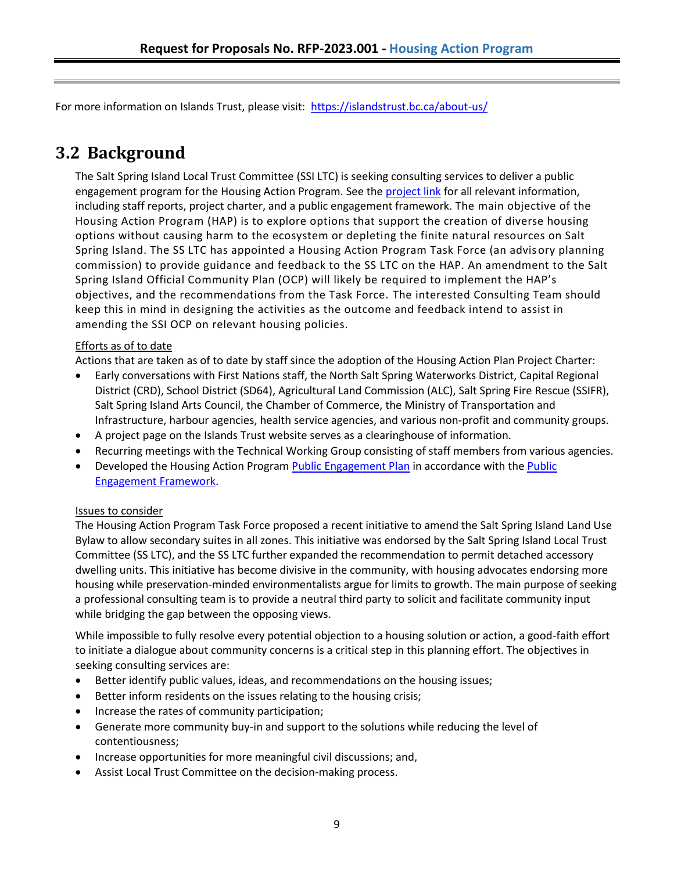For more information on Islands Trust, please visit: <https://islandstrust.bc.ca/about-us/>

## <span id="page-12-0"></span>**3.2 Background**

The Salt Spring Island Local Trust Committee (SSI LTC) is seeking consulting services to deliver a public engagement program for the Housing Action Program. See th[e project link](https://islandstrust.bc.ca/housing-action-program-2/) for all relevant information, including staff reports, project charter, and a public engagement framework. The main objective of the Housing Action Program (HAP) is to explore options that support the creation of diverse housing options without causing harm to the ecosystem or depleting the finite natural resources on Salt Spring Island. The SS LTC has appointed a Housing Action Program Task Force (an advisory planning commission) to provide guidance and feedback to the SS LTC on the HAP. An amendment to the Salt Spring Island Official Community Plan (OCP) will likely be required to implement the HAP's objectives, and the recommendations from the Task Force. The interested Consulting Team should keep this in mind in designing the activities as the outcome and feedback intend to assist in amending the SSI OCP on relevant housing policies.

### Efforts as of to date

Actions that are taken as of to date by staff since the adoption of the Housing Action Plan Project Charter:

- Early conversations with First Nations staff, the North Salt Spring Waterworks District, Capital Regional District (CRD), School District (SD64), Agricultural Land Commission (ALC), Salt Spring Fire Rescue (SSIFR), Salt Spring Island Arts Council, the Chamber of Commerce, the Ministry of Transportation and Infrastructure, harbour agencies, health service agencies, and various non-profit and community groups.
- A project page on the Islands Trust website serves as a clearinghouse of information.
- Recurring meetings with the Technical Working Group consisting of staff members from various agencies.
- Developed the Housing Action Program [Public Engagement Plan](https://webfiles.islandstrust.bc.ca/islands/local-trust-areas/salt-spring/current-projects/Housing%20Action%20Program/1.%20Document%20Library/3_PublicEngagementPlan_Final.pdf) in accordance with the Public [Engagement Framework.](https://webfiles.islandstrust.bc.ca/islands/local-trust-areas/salt-spring/current-projects/Housing%20Action%20Program/1.%20Document%20Library/2_PublicEngagementFramework_Final.pdf)

### Issues to consider

The Housing Action Program Task Force proposed a recent initiative to amend the Salt Spring Island Land Use Bylaw to allow secondary suites in all zones. This initiative was endorsed by the Salt Spring Island Local Trust Committee (SS LTC), and the SS LTC further expanded the recommendation to permit detached accessory dwelling units. This initiative has become divisive in the community, with housing advocates endorsing more housing while preservation-minded environmentalists argue for limits to growth. The main purpose of seeking a professional consulting team is to provide a neutral third party to solicit and facilitate community input while bridging the gap between the opposing views.

While impossible to fully resolve every potential objection to a housing solution or action, a good-faith effort to initiate a dialogue about community concerns is a critical step in this planning effort. The objectives in seeking consulting services are:

- Better identify public values, ideas, and recommendations on the housing issues;
- Better inform residents on the issues relating to the housing crisis;
- Increase the rates of community participation;
- Generate more community buy-in and support to the solutions while reducing the level of contentiousness;
- Increase opportunities for more meaningful civil discussions; and,
- Assist Local Trust Committee on the decision-making process.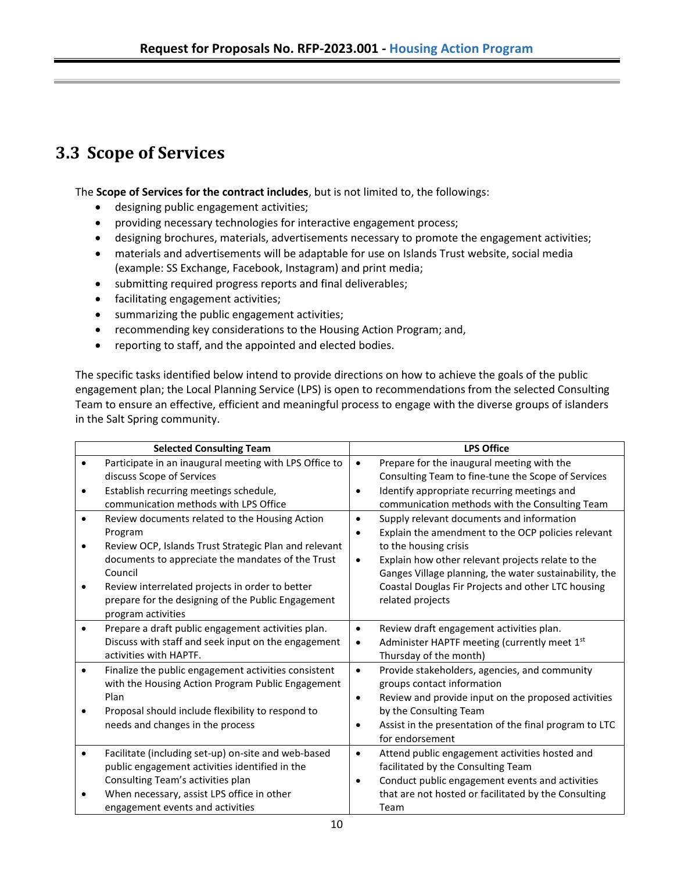## **3.3 Scope of Services**

The **Scope of Services for the contract includes**, but is not limited to, the followings:

- designing public engagement activities;
- providing necessary technologies for interactive engagement process;
- designing brochures, materials, advertisements necessary to promote the engagement activities;
- materials and advertisements will be adaptable for use on Islands Trust website, social media (example: SS Exchange, Facebook, Instagram) and print media;
- submitting required progress reports and final deliverables;
- facilitating engagement activities;
- summarizing the public engagement activities;
- recommending key considerations to the Housing Action Program; and,
- reporting to staff, and the appointed and elected bodies.

The specific tasks identified below intend to provide directions on how to achieve the goals of the public engagement plan; the Local Planning Service (LPS) is open to recommendations from the selected Consulting Team to ensure an effective, efficient and meaningful process to engage with the diverse groups of islanders in the Salt Spring community.

| <b>Selected Consulting Team</b> |                                                                                                                                                                                                                                       | <b>LPS Office</b>                   |                                                                                                                                                                                                                                                                                               |  |
|---------------------------------|---------------------------------------------------------------------------------------------------------------------------------------------------------------------------------------------------------------------------------------|-------------------------------------|-----------------------------------------------------------------------------------------------------------------------------------------------------------------------------------------------------------------------------------------------------------------------------------------------|--|
| $\bullet$<br>$\bullet$          | Participate in an inaugural meeting with LPS Office to<br>discuss Scope of Services<br>Establish recurring meetings schedule,<br>communication methods with LPS Office                                                                | $\bullet$<br>$\bullet$              | Prepare for the inaugural meeting with the<br>Consulting Team to fine-tune the Scope of Services<br>Identify appropriate recurring meetings and<br>communication methods with the Consulting Team                                                                                             |  |
| $\bullet$<br>٠<br>٠             | Review documents related to the Housing Action<br>Program<br>Review OCP, Islands Trust Strategic Plan and relevant<br>documents to appreciate the mandates of the Trust<br>Council<br>Review interrelated projects in order to better | $\bullet$<br>$\bullet$<br>$\bullet$ | Supply relevant documents and information<br>Explain the amendment to the OCP policies relevant<br>to the housing crisis<br>Explain how other relevant projects relate to the<br>Ganges Village planning, the water sustainability, the<br>Coastal Douglas Fir Projects and other LTC housing |  |
| $\bullet$                       | prepare for the designing of the Public Engagement<br>program activities<br>Prepare a draft public engagement activities plan.<br>Discuss with staff and seek input on the engagement<br>activities with HAPTF.                       | $\bullet$<br>$\bullet$              | related projects<br>Review draft engagement activities plan.<br>Administer HAPTF meeting (currently meet 1st<br>Thursday of the month)                                                                                                                                                        |  |
| $\bullet$                       | Finalize the public engagement activities consistent<br>with the Housing Action Program Public Engagement<br>Plan<br>Proposal should include flexibility to respond to<br>needs and changes in the process                            | $\bullet$<br>$\bullet$<br>$\bullet$ | Provide stakeholders, agencies, and community<br>groups contact information<br>Review and provide input on the proposed activities<br>by the Consulting Team<br>Assist in the presentation of the final program to LTC<br>for endorsement                                                     |  |
| $\bullet$                       | Facilitate (including set-up) on-site and web-based<br>public engagement activities identified in the<br>Consulting Team's activities plan<br>When necessary, assist LPS office in other<br>engagement events and activities          | $\bullet$<br>$\bullet$              | Attend public engagement activities hosted and<br>facilitated by the Consulting Team<br>Conduct public engagement events and activities<br>that are not hosted or facilitated by the Consulting<br>Team                                                                                       |  |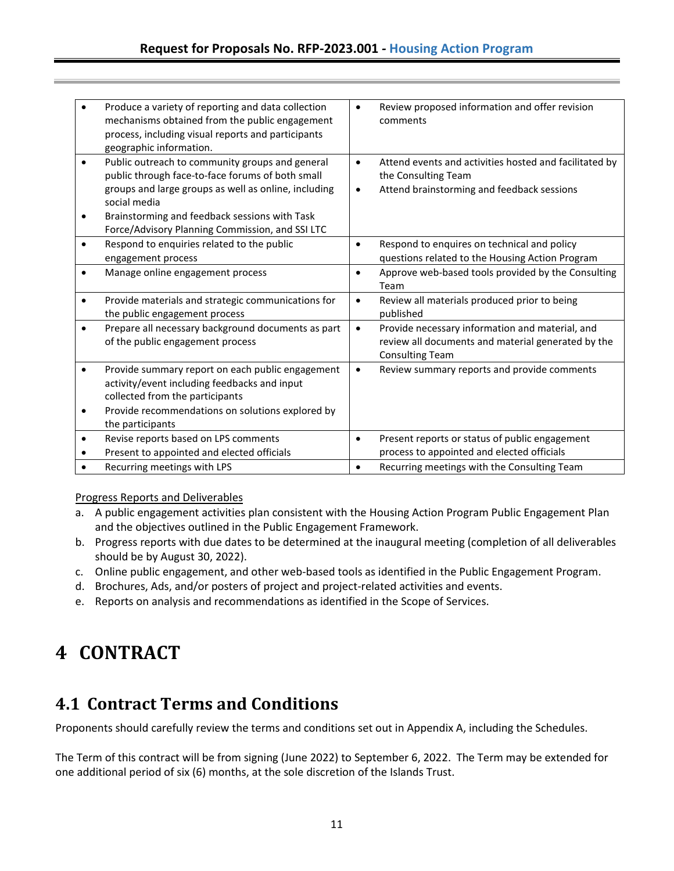|                        | Produce a variety of reporting and data collection<br>mechanisms obtained from the public engagement<br>process, including visual reports and participants<br>geographic information.                                        | $\bullet$              | Review proposed information and offer revision<br>comments                                                                      |
|------------------------|------------------------------------------------------------------------------------------------------------------------------------------------------------------------------------------------------------------------------|------------------------|---------------------------------------------------------------------------------------------------------------------------------|
| ٠<br>٠                 | Public outreach to community groups and general<br>public through face-to-face forums of both small<br>groups and large groups as well as online, including<br>social media<br>Brainstorming and feedback sessions with Task | $\bullet$<br>$\bullet$ | Attend events and activities hosted and facilitated by<br>the Consulting Team<br>Attend brainstorming and feedback sessions     |
|                        | Force/Advisory Planning Commission, and SSI LTC                                                                                                                                                                              |                        |                                                                                                                                 |
| $\bullet$              | Respond to enquiries related to the public<br>engagement process                                                                                                                                                             | $\bullet$              | Respond to enquires on technical and policy<br>questions related to the Housing Action Program                                  |
|                        | Manage online engagement process                                                                                                                                                                                             | $\bullet$              | Approve web-based tools provided by the Consulting<br>Team                                                                      |
| ٠                      | Provide materials and strategic communications for<br>the public engagement process                                                                                                                                          | $\bullet$              | Review all materials produced prior to being<br>published                                                                       |
| ٠                      | Prepare all necessary background documents as part<br>of the public engagement process                                                                                                                                       | $\bullet$              | Provide necessary information and material, and<br>review all documents and material generated by the<br><b>Consulting Team</b> |
| $\bullet$<br>$\bullet$ | Provide summary report on each public engagement<br>activity/event including feedbacks and input<br>collected from the participants<br>Provide recommendations on solutions explored by                                      | $\bullet$              | Review summary reports and provide comments                                                                                     |
| $\bullet$              | the participants<br>Revise reports based on LPS comments                                                                                                                                                                     | $\bullet$              | Present reports or status of public engagement                                                                                  |
|                        | Present to appointed and elected officials                                                                                                                                                                                   |                        | process to appointed and elected officials                                                                                      |
|                        | Recurring meetings with LPS                                                                                                                                                                                                  | $\bullet$              | Recurring meetings with the Consulting Team                                                                                     |

### Progress Reports and Deliverables

- a. A public engagement activities plan consistent with the Housing Action Program Public Engagement Plan and the objectives outlined in the Public Engagement Framework.
- b. Progress reports with due dates to be determined at the inaugural meeting (completion of all deliverables should be by August 30, 2022).
- c. Online public engagement, and other web-based tools as identified in the Public Engagement Program.
- d. Brochures, Ads, and/or posters of project and project-related activities and events.
- e. Reports on analysis and recommendations as identified in the Scope of Services.

# <span id="page-14-0"></span>**4 CONTRACT**

## <span id="page-14-1"></span>**4.1 Contract Terms and Conditions**

Proponents should carefully review the terms and conditions set out in Appendix A, including the Schedules.

The Term of this contract will be from signing (June 2022) to September 6, 2022. The Term may be extended for one additional period of six (6) months, at the sole discretion of the Islands Trust.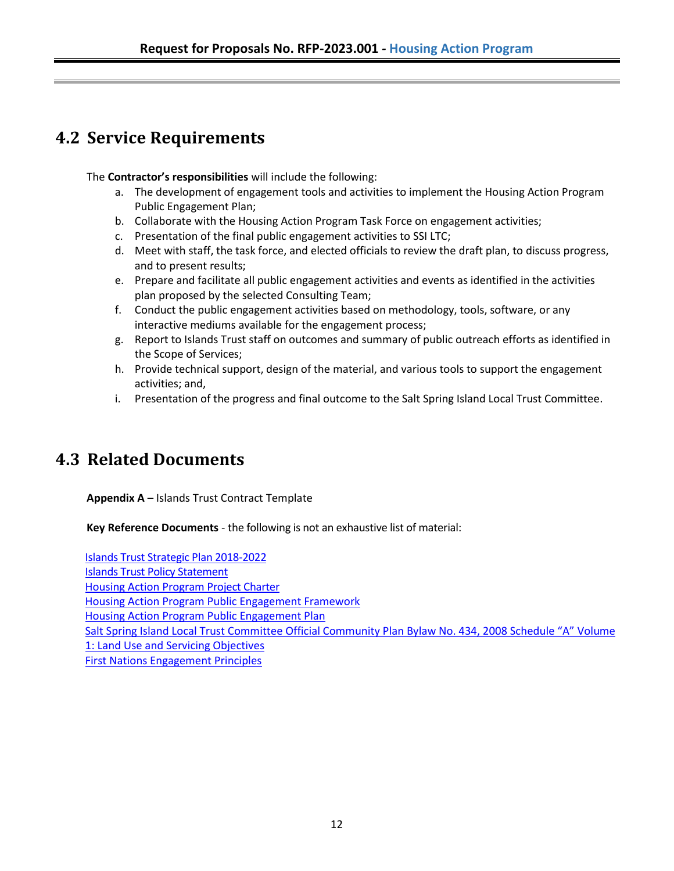## <span id="page-15-0"></span>**4.2 Service Requirements**

The **Contractor's responsibilities** will include the following:

- a. The development of engagement tools and activities to implement the Housing Action Program Public Engagement Plan;
- b. Collaborate with the Housing Action Program Task Force on engagement activities;
- c. Presentation of the final public engagement activities to SSI LTC;
- d. Meet with staff, the task force, and elected officials to review the draft plan, to discuss progress, and to present results;
- e. Prepare and facilitate all public engagement activities and events as identified in the activities plan proposed by the selected Consulting Team;
- f. Conduct the public engagement activities based on methodology, tools, software, or any interactive mediums available for the engagement process;
- g. Report to Islands Trust staff on outcomes and summary of public outreach efforts as identified in the Scope of Services;
- h. Provide technical support, design of the material, and various tools to support the engagement activities; and,
- i. Presentation of the progress and final outcome to the Salt Spring Island Local Trust Committee.

## **4.3 Related Documents**

**Appendix A** – Islands Trust Contract Template

**Key Reference Documents** - the following is not an exhaustive list of material:

[Islands Trust Strategic Plan 2018-2022](https://islandstrust.bc.ca/wp-content/uploads/2020/03/TC_StrategicPlan_2018-2022_Updated-March-2021_FINAL.pdf) [Islands Trust Policy Statement](https://islandstrust.bc.ca/document/islands-trust-policy-statement/) [Housing Action Program](https://webfiles.islandstrust.bc.ca/islands/local-trust-areas/salt-spring/current-projects/Housing%20Action%20Program/1.%20Document%20Library/1_ProjectCharter_Final.pdf) Project Charter [Housing Action Program Public Engagement Framework](https://webfiles.islandstrust.bc.ca/islands/local-trust-areas/salt-spring/current-projects/Housing%20Action%20Program/1.%20Document%20Library/2_PublicEngagementFramework_Final.pdf) [Housing Action Program Public Engagement Plan](https://webfiles.islandstrust.bc.ca/islands/local-trust-areas/salt-spring/current-projects/Housing%20Action%20Program/1.%20Document%20Library/3_PublicEngagementPlan_Final.pdf) [Salt Spring Island Local Trust Committee Official Community Plan Bylaw No. 434, 2008 Schedule "A" Volume](https://islandstrust.bc.ca/wp-content/uploads/2020/10/SS-BL-434_2020-10_OCP_Vol1-2.pdf)  [1: Land Use and Servicing Objectives](https://islandstrust.bc.ca/wp-content/uploads/2020/10/SS-BL-434_2020-10_OCP_Vol1-2.pdf) [First Nations Engagement Principles](https://islandstrust.bc.ca/wp-content/uploads/2020/05/tas_2019-05-10_reconciliationactionplan_pl_final.pdf)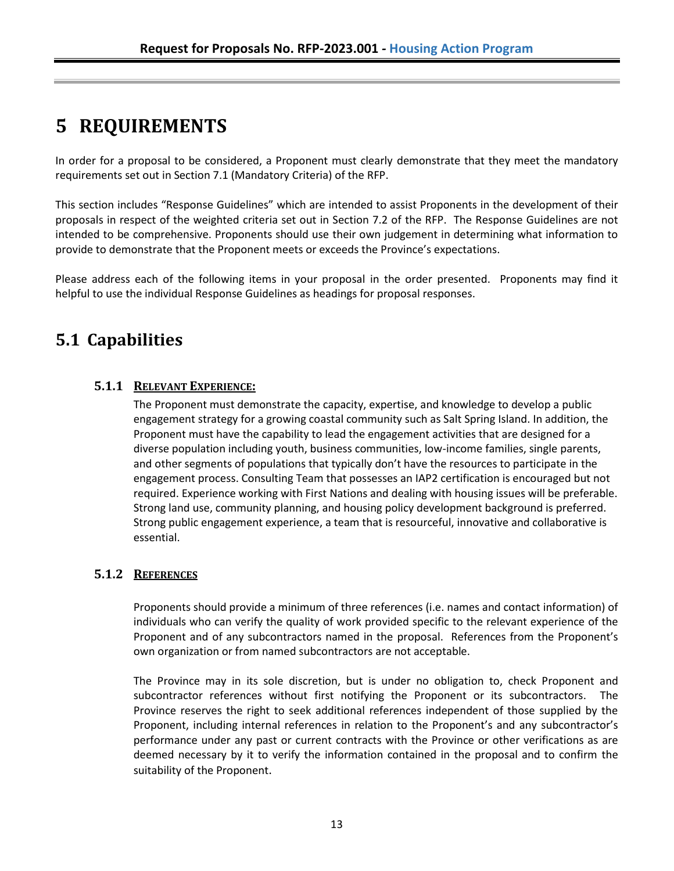# <span id="page-16-0"></span>**5 REQUIREMENTS**

In order for a proposal to be considered, a Proponent must clearly demonstrate that they meet the mandatory requirements set out in Section 7.1 (Mandatory Criteria) of the RFP.

This section includes "Response Guidelines" which are intended to assist Proponents in the development of their proposals in respect of the weighted criteria set out in Section 7.2 of the RFP. The Response Guidelines are not intended to be comprehensive. Proponents should use their own judgement in determining what information to provide to demonstrate that the Proponent meets or exceeds the Province's expectations.

Please address each of the following items in your proposal in the order presented. Proponents may find it helpful to use the individual Response Guidelines as headings for proposal responses.

## <span id="page-16-1"></span>**5.1 Capabilities**

### <span id="page-16-2"></span>**5.1.1 RELEVANT EXPERIENCE:**

The Proponent must demonstrate the capacity, expertise, and knowledge to develop a public engagement strategy for a growing coastal community such as Salt Spring Island. In addition, the Proponent must have the capability to lead the engagement activities that are designed for a diverse population including youth, business communities, low-income families, single parents, and other segments of populations that typically don't have the resources to participate in the engagement process. Consulting Team that possesses an IAP2 certification is encouraged but not required. Experience working with First Nations and dealing with housing issues will be preferable. Strong land use, community planning, and housing policy development background is preferred. Strong public engagement experience, a team that is resourceful, innovative and collaborative is essential.

### <span id="page-16-3"></span>**5.1.2 REFERENCES**

Proponents should provide a minimum of three references (i.e. names and contact information) of individuals who can verify the quality of work provided specific to the relevant experience of the Proponent and of any subcontractors named in the proposal. References from the Proponent's own organization or from named subcontractors are not acceptable.

The Province may in its sole discretion, but is under no obligation to, check Proponent and subcontractor references without first notifying the Proponent or its subcontractors. The Province reserves the right to seek additional references independent of those supplied by the Proponent, including internal references in relation to the Proponent's and any subcontractor's performance under any past or current contracts with the Province or other verifications as are deemed necessary by it to verify the information contained in the proposal and to confirm the suitability of the Proponent.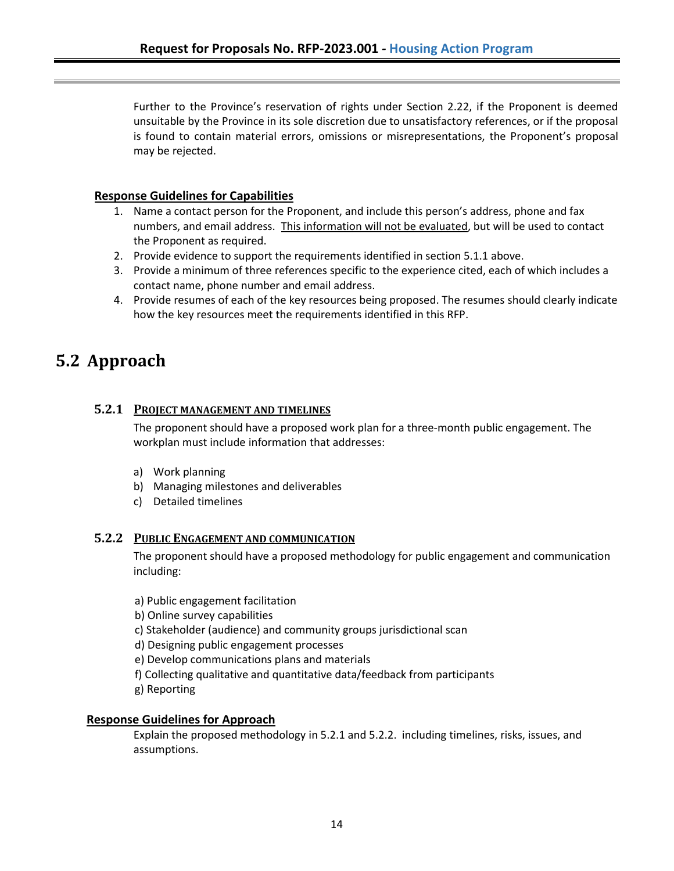Further to the Province's reservation of rights under Section 2.22, if the Proponent is deemed unsuitable by the Province in its sole discretion due to unsatisfactory references, or if the proposal is found to contain material errors, omissions or misrepresentations, the Proponent's proposal may be rejected.

### **Response Guidelines for Capabilities**

- 1. Name a contact person for the Proponent, and include this person's address, phone and fax numbers, and email address. This information will not be evaluated, but will be used to contact the Proponent as required.
- 2. Provide evidence to support the requirements identified in section 5.1.1 above.
- 3. Provide a minimum of three references specific to the experience cited, each of which includes a contact name, phone number and email address.
- 4. Provide resumes of each of the key resources being proposed. The resumes should clearly indicate how the key resources meet the requirements identified in this RFP.

### <span id="page-17-0"></span>**5.2 Approach**

### <span id="page-17-1"></span>**5.2.1 PROJECT MANAGEMENT AND TIMELINES**

The proponent should have a proposed work plan for a three-month public engagement. The workplan must include information that addresses:

- a) Work planning
- b) Managing milestones and deliverables
- c) Detailed timelines

### <span id="page-17-2"></span>**5.2.2 PUBLIC ENGAGEMENT AND COMMUNICATION**

The proponent should have a proposed methodology for public engagement and communication including:

a) Public engagement facilitation

b) Online survey capabilities

- c) Stakeholder (audience) and community groups jurisdictional scan
- d) Designing public engagement processes
- e) Develop communications plans and materials
- f) Collecting qualitative and quantitative data/feedback from participants
- g) Reporting

### **Response Guidelines for Approach**

Explain the proposed methodology in 5.2.1 and 5.2.2. including timelines, risks, issues, and assumptions.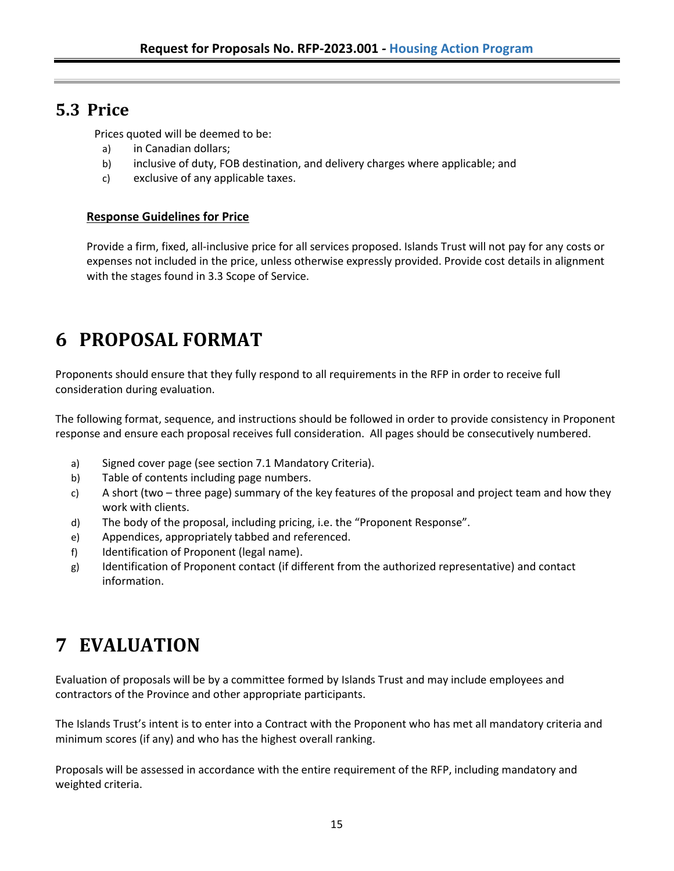### <span id="page-18-0"></span>**5.3 Price**

Prices quoted will be deemed to be:

- a) in Canadian dollars;
- b) inclusive of duty, FOB destination, and delivery charges where applicable; and
- c) exclusive of any applicable taxes.

### **Response Guidelines for Price**

Provide a firm, fixed, all-inclusive price for all services proposed. Islands Trust will not pay for any costs or expenses not included in the price, unless otherwise expressly provided. Provide cost details in alignment with the stages found in 3.3 Scope of Service.

# <span id="page-18-1"></span>**6 PROPOSAL FORMAT**

Proponents should ensure that they fully respond to all requirements in the RFP in order to receive full consideration during evaluation.

The following format, sequence, and instructions should be followed in order to provide consistency in Proponent response and ensure each proposal receives full consideration. All pages should be consecutively numbered.

- a) Signed cover page (see section 7.1 Mandatory Criteria).
- b) Table of contents including page numbers.
- c) A short (two three page) summary of the key features of the proposal and project team and how they work with clients.
- d) The body of the proposal, including pricing, i.e. the "Proponent Response".
- e) Appendices, appropriately tabbed and referenced.
- f) Identification of Proponent (legal name).
- g) Identification of Proponent contact (if different from the authorized representative) and contact information.

# <span id="page-18-2"></span>**7 EVALUATION**

Evaluation of proposals will be by a committee formed by Islands Trust and may include employees and contractors of the Province and other appropriate participants.

The Islands Trust's intent is to enter into a Contract with the Proponent who has met all mandatory criteria and minimum scores (if any) and who has the highest overall ranking.

Proposals will be assessed in accordance with the entire requirement of the RFP, including mandatory and weighted criteria.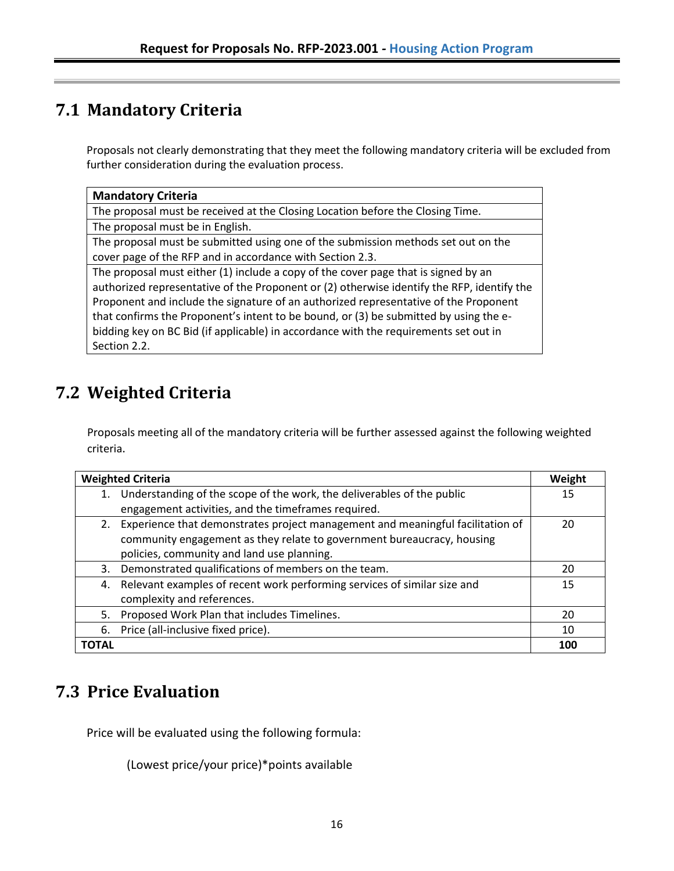## <span id="page-19-0"></span>**7.1 Mandatory Criteria**

Proposals not clearly demonstrating that they meet the following mandatory criteria will be excluded from further consideration during the evaluation process.

| <b>Mandatory Criteria</b>                                                                  |  |
|--------------------------------------------------------------------------------------------|--|
| The proposal must be received at the Closing Location before the Closing Time.             |  |
| The proposal must be in English.                                                           |  |
| The proposal must be submitted using one of the submission methods set out on the          |  |
| cover page of the RFP and in accordance with Section 2.3.                                  |  |
| The proposal must either (1) include a copy of the cover page that is signed by an         |  |
| authorized representative of the Proponent or (2) otherwise identify the RFP, identify the |  |
| Proponent and include the signature of an authorized representative of the Proponent       |  |
| that confirms the Proponent's intent to be bound, or (3) be submitted by using the e-      |  |
| bidding key on BC Bid (if applicable) in accordance with the requirements set out in       |  |
| Section 2.2.                                                                               |  |

## <span id="page-19-1"></span>**7.2 Weighted Criteria**

Proposals meeting all of the mandatory criteria will be further assessed against the following weighted criteria.

| <b>Weighted Criteria</b>                                                             |     |  |
|--------------------------------------------------------------------------------------|-----|--|
| Understanding of the scope of the work, the deliverables of the public               | 15  |  |
| engagement activities, and the timeframes required.                                  |     |  |
| Experience that demonstrates project management and meaningful facilitation of<br>2. | 20  |  |
| community engagement as they relate to government bureaucracy, housing               |     |  |
| policies, community and land use planning.                                           |     |  |
| Demonstrated qualifications of members on the team.<br>3.                            | 20  |  |
| Relevant examples of recent work performing services of similar size and<br>4.       | 15  |  |
| complexity and references.                                                           |     |  |
| Proposed Work Plan that includes Timelines.<br>5.                                    | 20  |  |
| Price (all-inclusive fixed price).<br>6.                                             | 10  |  |
| TOTAL                                                                                | 100 |  |

## <span id="page-19-2"></span>**7.3 Price Evaluation**

Price will be evaluated using the following formula:

(Lowest price/your price)\*points available